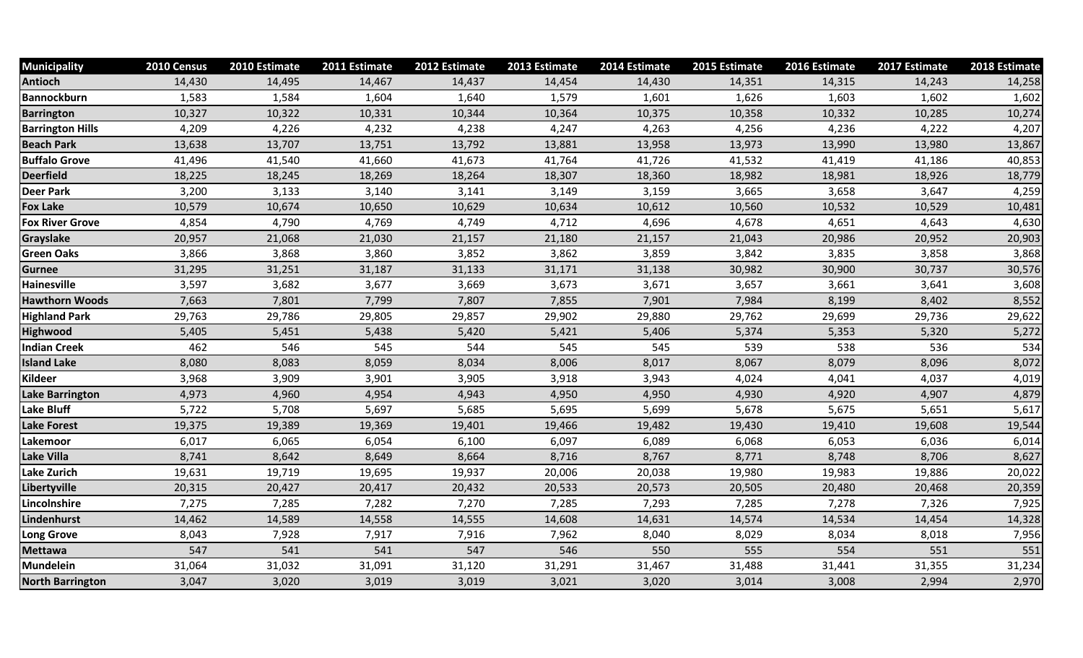| <b>Municipality</b>     | 2010 Census | 2010 Estimate | 2011 Estimate | 2012 Estimate | 2013 Estimate | 2014 Estimate | 2015 Estimate | 2016 Estimate | 2017 Estimate | 2018 Estimate |
|-------------------------|-------------|---------------|---------------|---------------|---------------|---------------|---------------|---------------|---------------|---------------|
| <b>Antioch</b>          | 14,430      | 14,495        | 14,467        | 14,437        | 14,454        | 14,430        | 14,351        | 14,315        | 14,243        | 14,258        |
| <b>Bannockburn</b>      | 1,583       | 1,584         | 1,604         | 1,640         | 1,579         | 1,601         | 1,626         | 1,603         | 1,602         | 1,602         |
| <b>Barrington</b>       | 10,327      | 10,322        | 10,331        | 10,344        | 10,364        | 10,375        | 10,358        | 10,332        | 10,285        | 10,274        |
| <b>Barrington Hills</b> | 4,209       | 4,226         | 4,232         | 4,238         | 4,247         | 4,263         | 4,256         | 4,236         | 4,222         | 4,207         |
| <b>Beach Park</b>       | 13,638      | 13,707        | 13,751        | 13,792        | 13,881        | 13,958        | 13,973        | 13,990        | 13,980        | 13,867        |
| <b>Buffalo Grove</b>    | 41,496      | 41,540        | 41,660        | 41,673        | 41,764        | 41,726        | 41,532        | 41,419        | 41,186        | 40,853        |
| <b>Deerfield</b>        | 18,225      | 18,245        | 18,269        | 18,264        | 18,307        | 18,360        | 18,982        | 18,981        | 18,926        | 18,779        |
| <b>Deer Park</b>        | 3,200       | 3,133         | 3,140         | 3,141         | 3,149         | 3,159         | 3,665         | 3,658         | 3,647         | 4,259         |
| <b>Fox Lake</b>         | 10,579      | 10,674        | 10,650        | 10,629        | 10,634        | 10,612        | 10,560        | 10,532        | 10,529        | 10,481        |
| <b>Fox River Grove</b>  | 4,854       | 4,790         | 4,769         | 4,749         | 4,712         | 4,696         | 4,678         | 4,651         | 4,643         | 4,630         |
| Grayslake               | 20,957      | 21,068        | 21,030        | 21,157        | 21,180        | 21,157        | 21,043        | 20,986        | 20,952        | 20,903        |
| <b>Green Oaks</b>       | 3,866       | 3,868         | 3,860         | 3,852         | 3,862         | 3,859         | 3,842         | 3,835         | 3,858         | 3,868         |
| <b>Gurnee</b>           | 31,295      | 31,251        | 31,187        | 31,133        | 31,171        | 31,138        | 30,982        | 30,900        | 30,737        | 30,576        |
| <b>Hainesville</b>      | 3,597       | 3,682         | 3,677         | 3,669         | 3,673         | 3,671         | 3,657         | 3,661         | 3,641         | 3,608         |
| <b>Hawthorn Woods</b>   | 7,663       | 7,801         | 7,799         | 7,807         | 7,855         | 7,901         | 7,984         | 8,199         | 8,402         | 8,552         |
| <b>Highland Park</b>    | 29,763      | 29,786        | 29,805        | 29,857        | 29,902        | 29,880        | 29,762        | 29,699        | 29,736        | 29,622        |
| <b>Highwood</b>         | 5,405       | 5,451         | 5,438         | 5,420         | 5,421         | 5,406         | 5,374         | 5,353         | 5,320         | 5,272         |
| <b>Indian Creek</b>     | 462         | 546           | 545           | 544           | 545           | 545           | 539           | 538           | 536           | 534           |
| <b>Island Lake</b>      | 8,080       | 8,083         | 8,059         | 8,034         | 8,006         | 8,017         | 8,067         | 8,079         | 8,096         | 8,072         |
| <b>Kildeer</b>          | 3,968       | 3,909         | 3,901         | 3,905         | 3,918         | 3,943         | 4,024         | 4,041         | 4,037         | 4,019         |
| <b>Lake Barrington</b>  | 4,973       | 4,960         | 4,954         | 4,943         | 4,950         | 4,950         | 4,930         | 4,920         | 4,907         | 4,879         |
| <b>Lake Bluff</b>       | 5,722       | 5,708         | 5,697         | 5,685         | 5,695         | 5,699         | 5,678         | 5,675         | 5,651         | 5,617         |
| <b>Lake Forest</b>      | 19,375      | 19,389        | 19,369        | 19,401        | 19,466        | 19,482        | 19,430        | 19,410        | 19,608        | 19,544        |
| Lakemoor                | 6,017       | 6,065         | 6,054         | 6,100         | 6,097         | 6,089         | 6,068         | 6,053         | 6,036         | 6,014         |
| <b>Lake Villa</b>       | 8,741       | 8,642         | 8,649         | 8,664         | 8,716         | 8,767         | 8,771         | 8,748         | 8,706         | 8,627         |
| <b>Lake Zurich</b>      | 19,631      | 19,719        | 19,695        | 19,937        | 20,006        | 20,038        | 19,980        | 19,983        | 19,886        | 20,022        |
| Libertyville            | 20,315      | 20,427        | 20,417        | 20,432        | 20,533        | 20,573        | 20,505        | 20,480        | 20,468        | 20,359        |
| Lincolnshire            | 7,275       | 7,285         | 7,282         | 7,270         | 7,285         | 7,293         | 7,285         | 7,278         | 7,326         | 7,925         |
| Lindenhurst             | 14,462      | 14,589        | 14,558        | 14,555        | 14,608        | 14,631        | 14,574        | 14,534        | 14,454        | 14,328        |
| <b>Long Grove</b>       | 8,043       | 7,928         | 7,917         | 7,916         | 7,962         | 8,040         | 8,029         | 8,034         | 8,018         | 7,956         |
| <b>Mettawa</b>          | 547         | 541           | 541           | 547           | 546           | 550           | 555           | 554           | 551           | 551           |
| <b>Mundelein</b>        | 31,064      | 31,032        | 31,091        | 31,120        | 31,291        | 31,467        | 31,488        | 31,441        | 31,355        | 31,234        |
| <b>North Barrington</b> | 3,047       | 3,020         | 3,019         | 3,019         | 3,021         | 3,020         | 3,014         | 3,008         | 2,994         | 2,970         |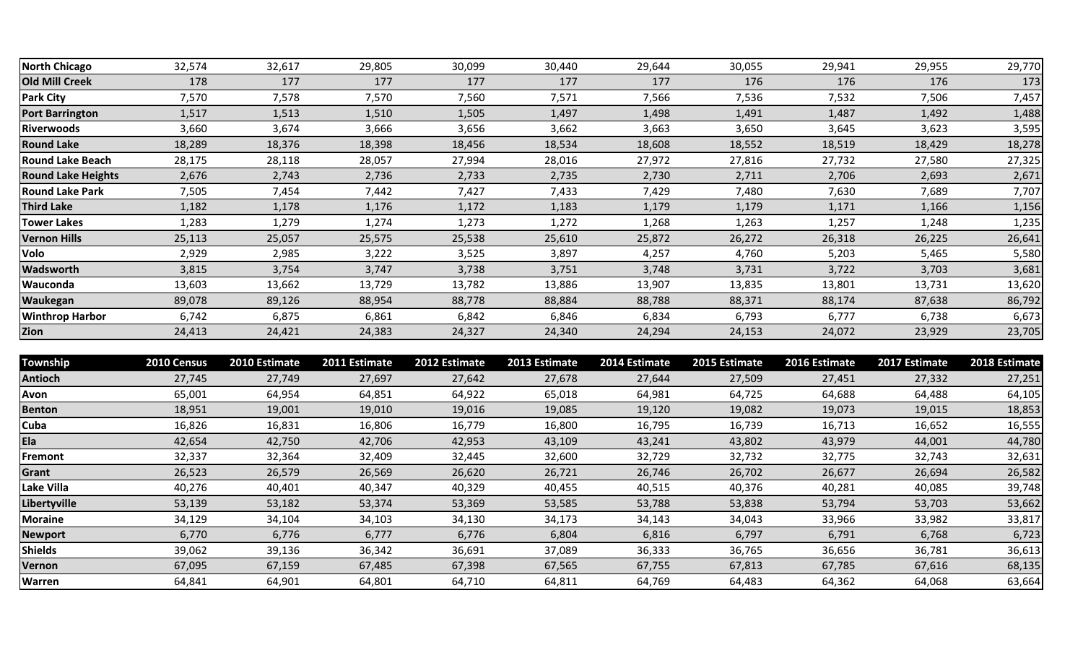| <b>North Chicago</b>      | 32,574 | 32,617 | 29,805 | 30,099 | 30,440 | 29,644 | 30,055 | 29,941 | 29,955 | 29,770 |
|---------------------------|--------|--------|--------|--------|--------|--------|--------|--------|--------|--------|
| <b>Old Mill Creek</b>     | 178    | 177    | 177    | 177    | 177    | 177    | 176    | 176    | 176    | 173    |
| <b>Park City</b>          | 7,570  | 7,578  | 7,570  | 7,560  | 7,571  | 7,566  | 7,536  | 7,532  | 7,506  | 7,457  |
| <b>Port Barrington</b>    | 1,517  | 1,513  | 1,510  | 1,505  | 1,497  | 1,498  | 1,491  | 1,487  | 1,492  | 1,488  |
| <b>Riverwoods</b>         | 3,660  | 3,674  | 3,666  | 3,656  | 3,662  | 3,663  | 3,650  | 3,645  | 3,623  | 3,595  |
| <b>Round Lake</b>         | 18,289 | 18,376 | 18,398 | 18,456 | 18,534 | 18,608 | 18,552 | 18,519 | 18,429 | 18,278 |
| <b>Round Lake Beach</b>   | 28,175 | 28,118 | 28,057 | 27,994 | 28,016 | 27,972 | 27,816 | 27,732 | 27,580 | 27,325 |
| <b>Round Lake Heights</b> | 2,676  | 2,743  | 2,736  | 2,733  | 2,735  | 2,730  | 2,711  | 2,706  | 2,693  | 2,671  |
| <b>Round Lake Park</b>    | 7,505  | 7,454  | 7,442  | 7,427  | 7,433  | 7,429  | 7,480  | 7,630  | 7,689  | 7,707  |
| <b>Third Lake</b>         | 1,182  | 1,178  | 1,176  | 1,172  | 1,183  | 1,179  | 1,179  | 1,171  | 1,166  | 1,156  |
| <b>Tower Lakes</b>        | 1,283  | 1,279  | 1,274  | 1,273  | 1,272  | 1,268  | 1,263  | 1,257  | 1,248  | 1,235  |
| <b>Vernon Hills</b>       | 25,113 | 25,057 | 25,575 | 25,538 | 25,610 | 25,872 | 26,272 | 26,318 | 26,225 | 26,641 |
| Volo                      | 2,929  | 2,985  | 3,222  | 3,525  | 3,897  | 4,257  | 4,760  | 5,203  | 5,465  | 5,580  |
| <b>Wadsworth</b>          | 3,815  | 3,754  | 3,747  | 3,738  | 3,751  | 3,748  | 3,731  | 3,722  | 3,703  | 3,681  |
| <b>Wauconda</b>           | 13,603 | 13,662 | 13,729 | 13,782 | 13,886 | 13,907 | 13,835 | 13,801 | 13,731 | 13,620 |
| Waukegan                  | 89,078 | 89,126 | 88,954 | 88,778 | 88,884 | 88,788 | 88,371 | 88,174 | 87,638 | 86,792 |
| <b>Winthrop Harbor</b>    | 6,742  | 6,875  | 6,861  | 6,842  | 6,846  | 6,834  | 6,793  | 6,777  | 6,738  | 6,673  |
| Zion                      | 24,413 | 24,421 | 24,383 | 24,327 | 24,340 | 24,294 | 24,153 | 24,072 | 23,929 | 23,705 |

| Township       | 2010 Census | 2010 Estimate | 2011 Estimate | 2012 Estimate | 2013 Estimate | 2014 Estimate | 2015 Estimate | 2016 Estimate | 2017 Estimate | 2018 Estimate |
|----------------|-------------|---------------|---------------|---------------|---------------|---------------|---------------|---------------|---------------|---------------|
| <b>Antioch</b> | 27,745      | 27,749        | 27,697        | 27,642        | 27,678        | 27,644        | 27,509        | 27,451        | 27,332        | 27,251        |
| Avon           | 65,001      | 64,954        | 64,851        | 64,922        | 65,018        | 64,981        | 64,725        | 64,688        | 64,488        | 64,105        |
| <b>Benton</b>  | 18,951      | 19,001        | 19,010        | 19,016        | 19,085        | 19,120        | 19,082        | 19,073        | 19,015        | 18,853        |
| Cuba           | 16,826      | 16,831        | 16,806        | 16,779        | 16,800        | 16,795        | 16,739        | 16,713        | 16,652        | 16,555        |
| Ela            | 42,654      | 42,750        | 42,706        | 42,953        | 43,109        | 43,241        | 43,802        | 43,979        | 44,001        | 44,780        |
| Fremont        | 32,337      | 32,364        | 32,409        | 32,445        | 32,600        | 32,729        | 32,732        | 32,775        | 32,743        | 32,631        |
| Grant          | 26,523      | 26,579        | 26,569        | 26,620        | 26,721        | 26,746        | 26,702        | 26,677        | 26,694        | 26,582        |
| Lake Villa     | 40,276      | 40,401        | 40,347        | 40,329        | 40,455        | 40,515        | 40,376        | 40,281        | 40,085        | 39,748        |
| Libertyville   | 53,139      | 53,182        | 53,374        | 53,369        | 53,585        | 53,788        | 53,838        | 53,794        | 53,703        | 53,662        |
| <b>Moraine</b> | 34,129      | 34,104        | 34,103        | 34,130        | 34,173        | 34,143        | 34,043        | 33,966        | 33,982        | 33,817        |
| <b>Newport</b> | 6,770       | 6,776         | 6,777         | 6,776         | 6,804         | 6,816         | 6,797         | 6,791         | 6,768         | 6,723         |
| <b>Shields</b> | 39,062      | 39,136        | 36,342        | 36,691        | 37,089        | 36,333        | 36,765        | 36,656        | 36,781        | 36,613        |
| Vernon         | 67,095      | 67,159        | 67,485        | 67,398        | 67,565        | 67,755        | 67,813        | 67,785        | 67,616        | 68,135        |
| <b>Warren</b>  | 64,841      | 64,901        | 64,801        | 64,710        | 64,811        | 64,769        | 64,483        | 64,362        | 64,068        | 63,664        |